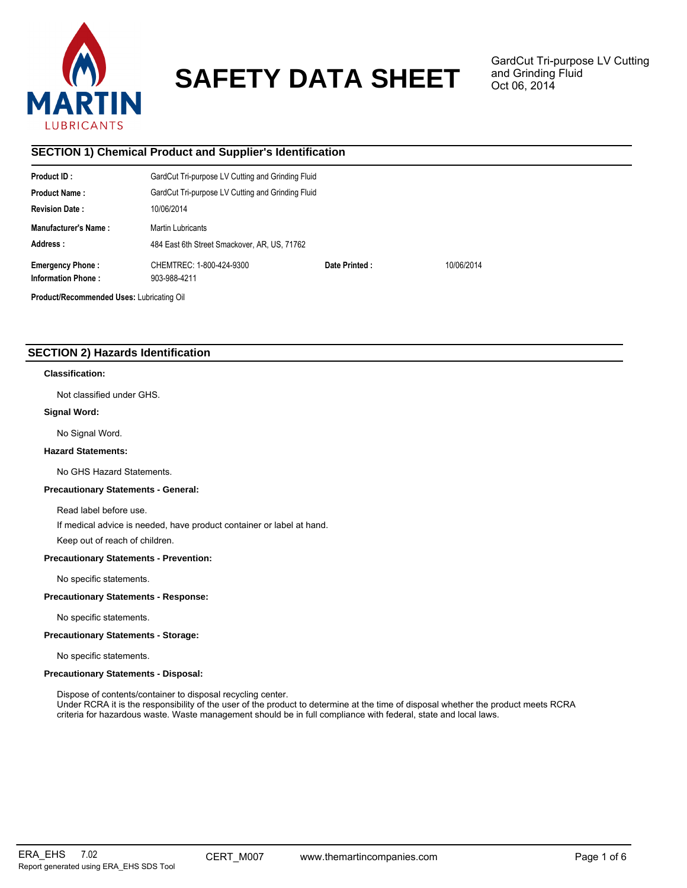

# **SAFETY DATA SHEET**

GardCut Tri-purpose LV Cutting and Grinding Fluid Oct 06, 2014

# **SECTION 1) Chemical Product and Supplier's Identification**

| Product ID:                               | GardCut Tri-purpose LV Cutting and Grinding Fluid |               |            |  |
|-------------------------------------------|---------------------------------------------------|---------------|------------|--|
| <b>Product Name:</b>                      | GardCut Tri-purpose LV Cutting and Grinding Fluid |               |            |  |
| <b>Revision Date:</b>                     | 10/06/2014                                        |               |            |  |
| <b>Manufacturer's Name:</b>               | Martin Lubricants                                 |               |            |  |
| Address:                                  | 484 East 6th Street Smackover, AR, US, 71762      |               |            |  |
| <b>Emergency Phone:</b>                   | CHEMTREC: 1-800-424-9300                          | Date Printed: | 10/06/2014 |  |
| <b>Information Phone:</b>                 | 903-988-4211                                      |               |            |  |
| Product/Recommended Uses: Lubricating Oil |                                                   |               |            |  |

# **SECTION 2) Hazards Identification**

## **Classification:**

Not classified under GHS.

# **Signal Word:**

No Signal Word.

# **Hazard Statements:**

No GHS Hazard Statements.

#### **Precautionary Statements - General:**

Read label before use.

If medical advice is needed, have product container or label at hand.

Keep out of reach of children.

# **Precautionary Statements - Prevention:**

No specific statements.

# **Precautionary Statements - Response:**

No specific statements.

## **Precautionary Statements - Storage:**

No specific statements.

#### **Precautionary Statements - Disposal:**

Dispose of contents/container to disposal recycling center.

Under RCRA it is the responsibility of the user of the product to determine at the time of disposal whether the product meets RCRA criteria for hazardous waste. Waste management should be in full compliance with federal, state and local laws.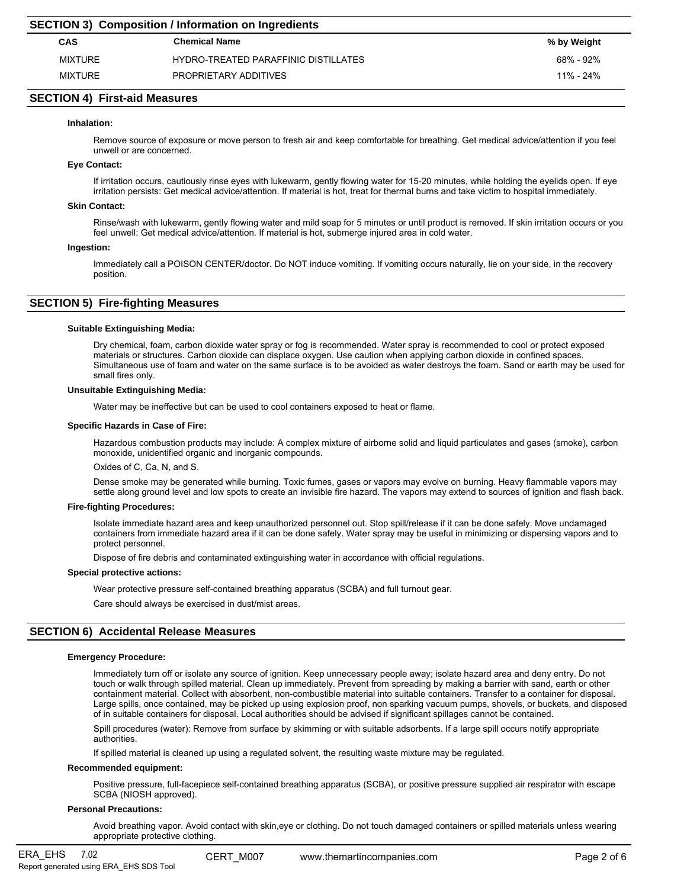# **SECTION 4) First-aid Measures**

## **Inhalation:**

Remove source of exposure or move person to fresh air and keep comfortable for breathing. Get medical advice/attention if you feel unwell or are concerned.

#### **Eye Contact:**

If irritation occurs, cautiously rinse eyes with lukewarm, gently flowing water for 15-20 minutes, while holding the eyelids open. If eye irritation persists: Get medical advice/attention. If material is hot, treat for thermal burns and take victim to hospital immediately.

#### **Skin Contact:**

Rinse/wash with lukewarm, gently flowing water and mild soap for 5 minutes or until product is removed. If skin irritation occurs or you feel unwell: Get medical advice/attention. If material is hot, submerge injured area in cold water.

#### **Ingestion:**

Immediately call a POISON CENTER/doctor. Do NOT induce vomiting. If vomiting occurs naturally, lie on your side, in the recovery position.

# **SECTION 5) Fire-fighting Measures**

#### **Suitable Extinguishing Media:**

Dry chemical, foam, carbon dioxide water spray or fog is recommended. Water spray is recommended to cool or protect exposed materials or structures. Carbon dioxide can displace oxygen. Use caution when applying carbon dioxide in confined spaces. Simultaneous use of foam and water on the same surface is to be avoided as water destroys the foam. Sand or earth may be used for small fires only.

#### **Unsuitable Extinguishing Media:**

Water may be ineffective but can be used to cool containers exposed to heat or flame.

#### **Specific Hazards in Case of Fire:**

Hazardous combustion products may include: A complex mixture of airborne solid and liquid particulates and gases (smoke), carbon monoxide, unidentified organic and inorganic compounds.

Oxides of C, Ca, N, and S.

Dense smoke may be generated while burning. Toxic fumes, gases or vapors may evolve on burning. Heavy flammable vapors may settle along ground level and low spots to create an invisible fire hazard. The vapors may extend to sources of ignition and flash back.

#### **Fire-fighting Procedures:**

Isolate immediate hazard area and keep unauthorized personnel out. Stop spill/release if it can be done safely. Move undamaged containers from immediate hazard area if it can be done safely. Water spray may be useful in minimizing or dispersing vapors and to protect personnel.

Dispose of fire debris and contaminated extinguishing water in accordance with official regulations.

#### **Special protective actions:**

Wear protective pressure self-contained breathing apparatus (SCBA) and full turnout gear.

Care should always be exercised in dust/mist areas.

# **SECTION 6) Accidental Release Measures**

#### **Emergency Procedure:**

Immediately turn off or isolate any source of ignition. Keep unnecessary people away; isolate hazard area and deny entry. Do not touch or walk through spilled material. Clean up immediately. Prevent from spreading by making a barrier with sand, earth or other containment material. Collect with absorbent, non-combustible material into suitable containers. Transfer to a container for disposal. Large spills, once contained, may be picked up using explosion proof, non sparking vacuum pumps, shovels, or buckets, and disposed of in suitable containers for disposal. Local authorities should be advised if significant spillages cannot be contained.

Spill procedures (water): Remove from surface by skimming or with suitable adsorbents. If a large spill occurs notify appropriate authorities.

If spilled material is cleaned up using a regulated solvent, the resulting waste mixture may be regulated.

## **Recommended equipment:**

Positive pressure, full-facepiece self-contained breathing apparatus (SCBA), or positive pressure supplied air respirator with escape SCBA (NIOSH approved).

# **Personal Precautions:**

Avoid breathing vapor. Avoid contact with skin,eye or clothing. Do not touch damaged containers or spilled materials unless wearing appropriate protective clothing.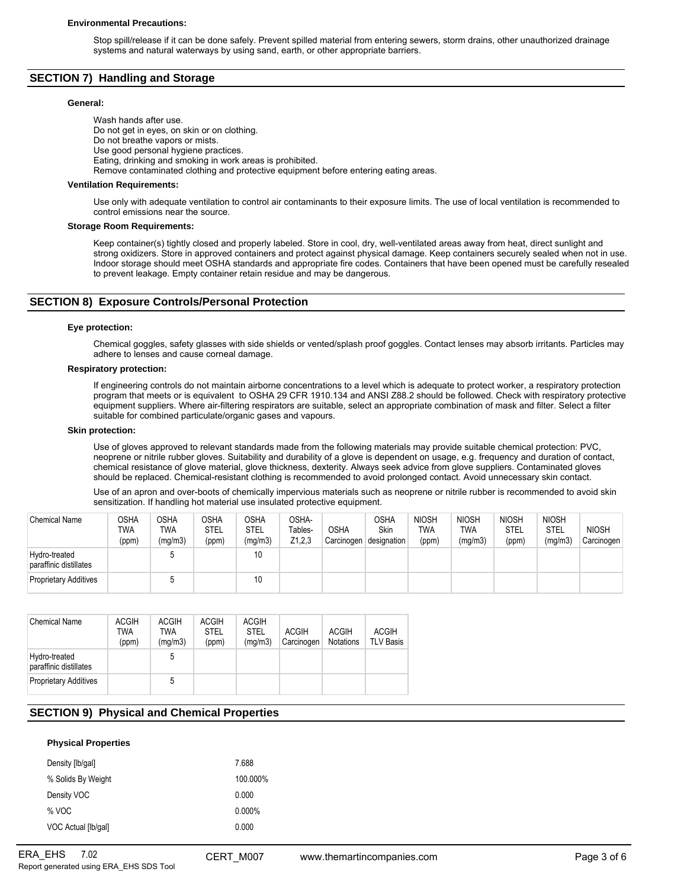Stop spill/release if it can be done safely. Prevent spilled material from entering sewers, storm drains, other unauthorized drainage systems and natural waterways by using sand, earth, or other appropriate barriers.

# **SECTION 7) Handling and Storage**

# **General:**

Wash hands after use. Do not get in eyes, on skin or on clothing. Do not breathe vapors or mists. Use good personal hygiene practices. Eating, drinking and smoking in work areas is prohibited. Remove contaminated clothing and protective equipment before entering eating areas.

#### **Ventilation Requirements:**

Use only with adequate ventilation to control air contaminants to their exposure limits. The use of local ventilation is recommended to control emissions near the source.

#### **Storage Room Requirements:**

Keep container(s) tightly closed and properly labeled. Store in cool, dry, well-ventilated areas away from heat, direct sunlight and strong oxidizers. Store in approved containers and protect against physical damage. Keep containers securely sealed when not in use. Indoor storage should meet OSHA standards and appropriate fire codes. Containers that have been opened must be carefully resealed to prevent leakage. Empty container retain residue and may be dangerous.

# **SECTION 8) Exposure Controls/Personal Protection**

## **Eye protection:**

Chemical goggles, safety glasses with side shields or vented/splash proof goggles. Contact lenses may absorb irritants. Particles may adhere to lenses and cause corneal damage.

## **Respiratory protection:**

If engineering controls do not maintain airborne concentrations to a level which is adequate to protect worker, a respiratory protection program that meets or is equivalent to OSHA 29 CFR 1910.134 and ANSI Z88.2 should be followed. Check with respiratory protective equipment suppliers. Where air-filtering respirators are suitable, select an appropriate combination of mask and filter. Select a filter suitable for combined particulate/organic gases and vapours.

#### **Skin protection:**

Use of gloves approved to relevant standards made from the following materials may provide suitable chemical protection: PVC, neoprene or nitrile rubber gloves. Suitability and durability of a glove is dependent on usage, e.g. frequency and duration of contact, chemical resistance of glove material, glove thickness, dexterity. Always seek advice from glove suppliers. Contaminated gloves should be replaced. Chemical-resistant clothing is recommended to avoid prolonged contact. Avoid unnecessary skin contact.

Use of an apron and over-boots of chemically impervious materials such as neoprene or nitrile rubber is recommended to avoid skin sensitization. If handling hot material use insulated protective equipment.

| <b>Chemical Name</b>                    | OSHA<br>TWA<br>(ppm) | <b>OSHA</b><br>TWA<br>(mg/m3) | <b>OSHA</b><br><b>STEL</b><br>(ppm) | OSHA<br>STEL<br>(mg/m3) | OSHA-<br>Tables-<br>Z1,2,3 | <b>OSHA</b><br>Carcinogen | OSHA<br>Skin<br>designation | <b>NIOSH</b><br><b>TWA</b><br>(ppm) | <b>NIOSH</b><br><b>TWA</b><br>(mg/m3) | <b>NIOSH</b><br>STEL<br>(ppm) | <b>NIOSH</b><br><b>STEL</b><br>(mg/m3) | <b>NIOSH</b><br>Carcinogen |
|-----------------------------------------|----------------------|-------------------------------|-------------------------------------|-------------------------|----------------------------|---------------------------|-----------------------------|-------------------------------------|---------------------------------------|-------------------------------|----------------------------------------|----------------------------|
| Hydro-treated<br>paraffinic distillates |                      |                               |                                     | 10                      |                            |                           |                             |                                     |                                       |                               |                                        |                            |
| Proprietary Additives                   |                      |                               |                                     | 10                      |                            |                           |                             |                                     |                                       |                               |                                        |                            |

| <b>Chemical Name</b>                    | <b>ACGIH</b><br>TWA<br>(ppm) | <b>ACGIH</b><br>TWA<br>(mq/m3) | <b>ACGIH</b><br>STEL<br>(ppm) | <b>ACGIH</b><br><b>STEL</b><br>(mq/m3) | <b>ACGIH</b><br>Carcinogen | <b>ACGIH</b><br><b>Notations</b> | <b>ACGIH</b><br><b>TLV Basis</b> |
|-----------------------------------------|------------------------------|--------------------------------|-------------------------------|----------------------------------------|----------------------------|----------------------------------|----------------------------------|
| Hydro-treated<br>paraffinic distillates |                              | 5                              |                               |                                        |                            |                                  |                                  |
| <b>Proprietary Additives</b>            |                              | 5                              |                               |                                        |                            |                                  |                                  |

# **SECTION 9) Physical and Chemical Properties**

| <b>Physical Properties</b> |           |
|----------------------------|-----------|
| Density [lb/gal]           | 7.688     |
| % Solids By Weight         | 100.000%  |
| Density VOC                | 0.000     |
| % VOC                      | $0.000\%$ |
| VOC Actual [lb/qal]        | 0.000     |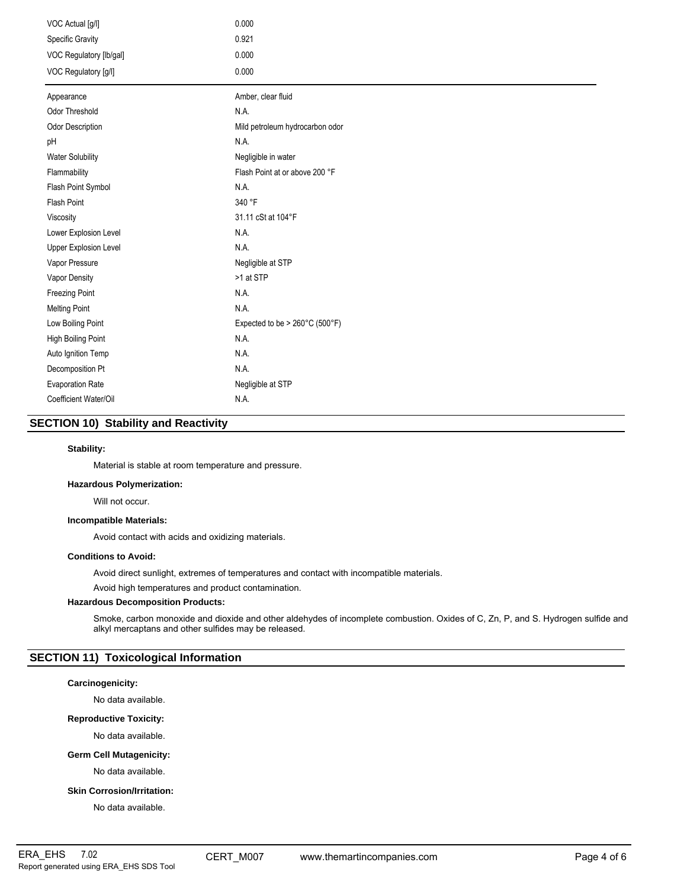| VOC Actual [g/l]        | 0.000                           |
|-------------------------|---------------------------------|
| Specific Gravity        | 0.921                           |
| VOC Regulatory [lb/gal] | 0.000                           |
| VOC Regulatory [g/l]    | 0.000                           |
| Appearance              | Amber, clear fluid              |
| <b>Odor Threshold</b>   | N.A.                            |
| Odor Description        | Mild petroleum hydrocarbon odor |
| pH                      | N.A.                            |
| <b>Water Solubility</b> | Negligible in water             |
| Flammability            | Flash Point at or above 200 °F  |
| Flash Point Symbol      | N.A.                            |
| <b>Flash Point</b>      | 340 °F                          |
| Viscosity               | 31.11 cSt at 104°F              |
| Lower Explosion Level   | N.A.                            |
| Upper Explosion Level   | N.A.                            |
| Vapor Pressure          | Negligible at STP               |
| Vapor Density           | >1 at STP                       |
| <b>Freezing Point</b>   | N.A.                            |
| <b>Melting Point</b>    | N.A.                            |
| Low Boiling Point       | Expected to be > 260°C (500°F)  |
| High Boiling Point      | N.A.                            |
| Auto Ignition Temp      | N.A.                            |
| Decomposition Pt        | N.A.                            |
| <b>Evaporation Rate</b> | Negligible at STP               |
| Coefficient Water/Oil   | N.A.                            |

# **SECTION 10) Stability and Reactivity**

## **Stability:**

Material is stable at room temperature and pressure.

## **Hazardous Polymerization:**

Will not occur.

## **Incompatible Materials:**

Avoid contact with acids and oxidizing materials.

## **Conditions to Avoid:**

Avoid direct sunlight, extremes of temperatures and contact with incompatible materials.

Avoid high temperatures and product contamination.

# **Hazardous Decomposition Products:**

Smoke, carbon monoxide and dioxide and other aldehydes of incomplete combustion. Oxides of C, Zn, P, and S. Hydrogen sulfide and alkyl mercaptans and other sulfides may be released.

# **SECTION 11) Toxicological Information**

## **Carcinogenicity:**

No data available.

#### **Reproductive Toxicity:**

No data available.

# **Germ Cell Mutagenicity:**

No data available.

## **Skin Corrosion/Irritation:**

No data available.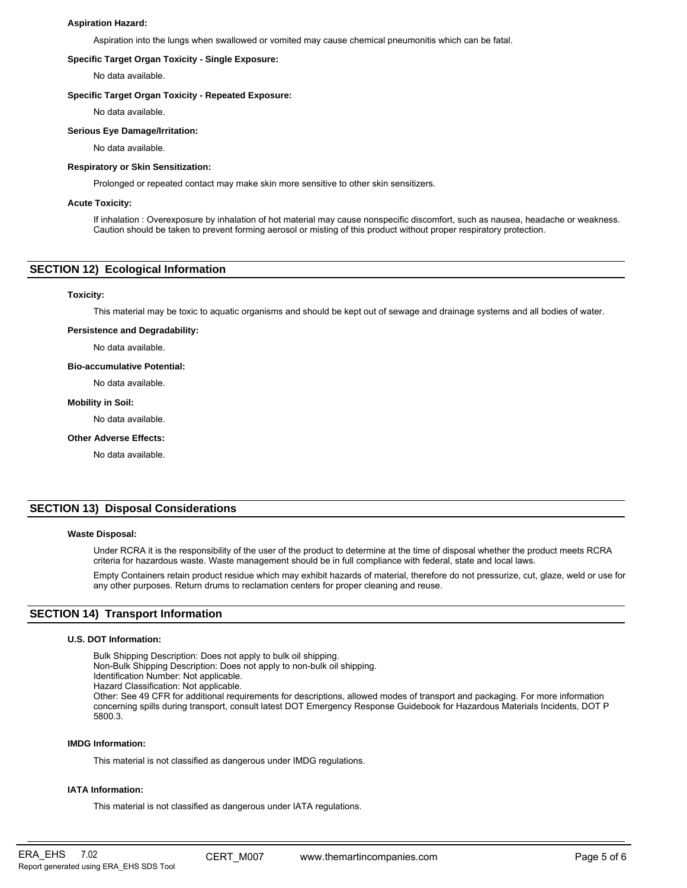#### **Aspiration Hazard:**

Aspiration into the lungs when swallowed or vomited may cause chemical pneumonitis which can be fatal.

#### **Specific Target Organ Toxicity - Single Exposure:**

No data available.

#### **Specific Target Organ Toxicity - Repeated Exposure:**

No data available.

#### **Serious Eye Damage/Irritation:**

No data available.

#### **Respiratory or Skin Sensitization:**

Prolonged or repeated contact may make skin more sensitive to other skin sensitizers.

#### **Acute Toxicity:**

If inhalation : Overexposure by inhalation of hot material may cause nonspecific discomfort, such as nausea, headache or weakness. Caution should be taken to prevent forming aerosol or misting of this product without proper respiratory protection.

# **SECTION 12) Ecological Information**

## **Toxicity:**

This material may be toxic to aquatic organisms and should be kept out of sewage and drainage systems and all bodies of water.

#### **Persistence and Degradability:**

No data available.

#### **Bio-accumulative Potential:**

No data available.

#### **Mobility in Soil:**

No data available.

## **Other Adverse Effects:**

No data available.

# **SECTION 13) Disposal Considerations**

#### **Waste Disposal:**

Under RCRA it is the responsibility of the user of the product to determine at the time of disposal whether the product meets RCRA criteria for hazardous waste. Waste management should be in full compliance with federal, state and local laws.

Empty Containers retain product residue which may exhibit hazards of material, therefore do not pressurize, cut, glaze, weld or use for any other purposes. Return drums to reclamation centers for proper cleaning and reuse.

# **SECTION 14) Transport Information**

#### **U.S. DOT Information:**

Bulk Shipping Description: Does not apply to bulk oil shipping. Non-Bulk Shipping Description: Does not apply to non-bulk oil shipping. Identification Number: Not applicable. Hazard Classification: Not applicable. Other: See 49 CFR for additional requirements for descriptions, allowed modes of transport and packaging. For more information concerning spills during transport, consult latest DOT Emergency Response Guidebook for Hazardous Materials Incidents, DOT P 5800.3.

#### **IMDG Information:**

This material is not classified as dangerous under IMDG regulations.

#### **IATA Information:**

This material is not classified as dangerous under IATA regulations.